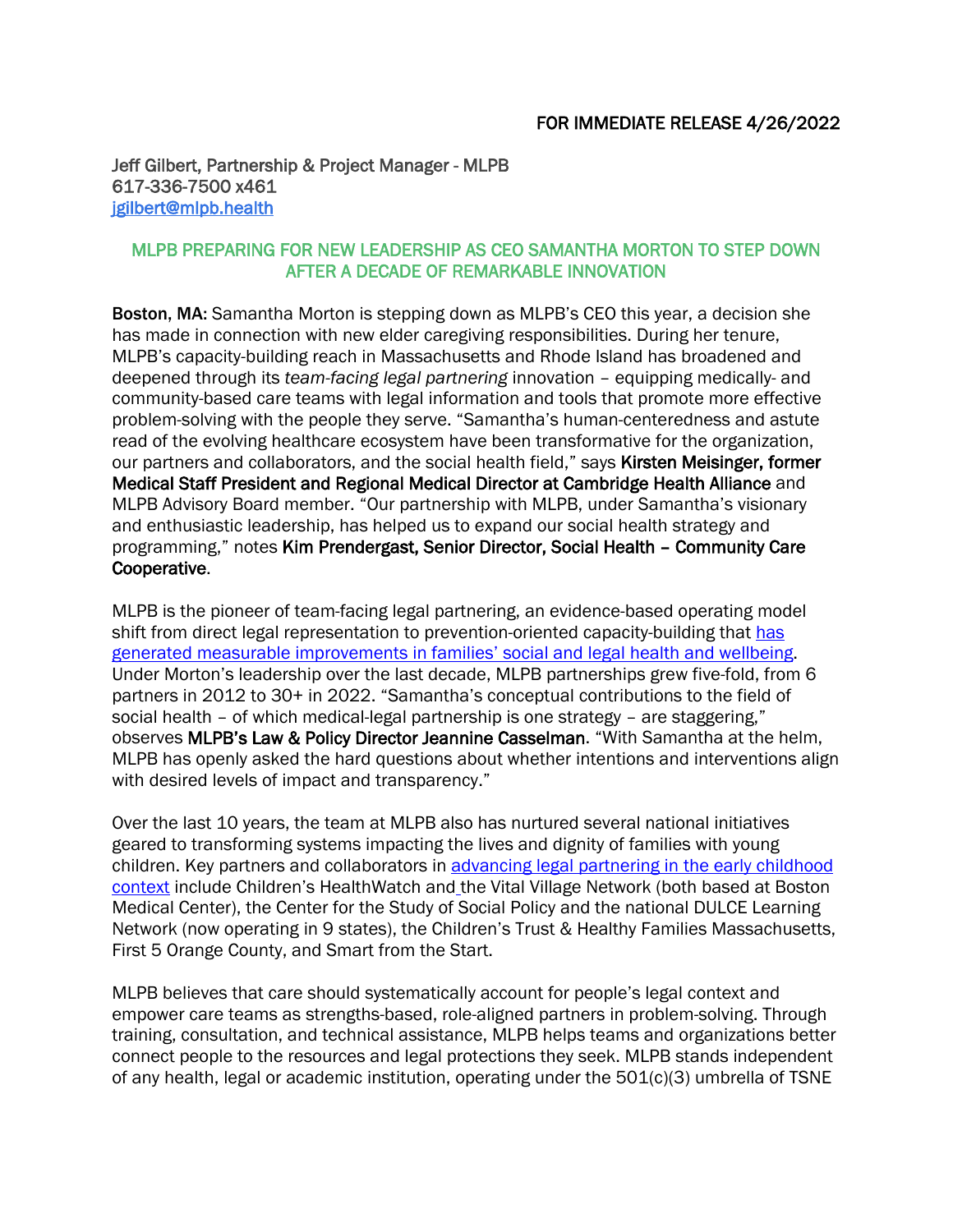Jeff Gilbert, Partnership & Project Manager - MLPB 617-336-7500 x461 [jgilbert@mlpb.health](mailto:jgilbert@mlpb.health) 

## MLPB PREPARING FOR NEW LEADERSHIP AS CEO SAMANTHA MORTON TO STEP DOWN AFTER A DECADE OF REMARKABLE INNOVATION

Boston, MA: Samantha Morton is stepping down as MLPB's CEO this year, a decision she has made in connection with new elder caregiving responsibilities. During her tenure, MLPB's capacity-building reach in Massachusetts and Rhode Island has broadened and deepened through its *[team-facing legal partnering](chrome-extension://efaidnbmnnnibpcajpcglclefindmkaj/http:/www.rimed.org/rimedicaljournal/2021/05/2021-05-08-commentary-morton.pdf)* innovation – equipping medically- and community-based care teams with legal information and tools that promote more effective problem-solving with the people they serve. "Samantha's human-centeredness and astute read of the evolving healthcare ecosystem have been transformative for the organization, our partners and collaborators, and the social health field," says Kirsten Meisinger, former Medical Staff President and Regional Medical Director at Cambridge Health Alliance and MLPB Advisory Board member. "Our partnership with MLPB, under Samantha's visionary and enthusiastic leadership, has helped us to expand our social health strategy and programming," notes Kim Prendergast, Senior Director, Social Health – Community Care Cooperative.

MLPB is the pioneer of team-facing legal partnering, an evidence-based operating model shift from direct legal representation to prevention-oriented capacity-building that [has](https://www.healthaffairs.org/do/10.1377/forefront.20210603.174251/full/)  [generated measurable improvements in families' social and legal health](https://www.healthaffairs.org/do/10.1377/forefront.20210603.174251/full/) and wellbeing. Under Morton's leadership over the last decade, MLPB partnerships grew five-fold, from 6 partners in 2012 to 30+ in 2022. "Samantha's conceptual contributions to the field of social health – of which medical-legal partnership is one strategy – are staggering," observes MLPB's Law & Policy Director Jeannine Casselman. "With Samantha at the helm, MLPB has openly asked the hard questions about whether intentions and interventions align with desired levels of impact and transparency."

Over the last 10 years, the team at MLPB also has nurtured several national initiatives geared to transforming systems impacting the lives and dignity of families with young children. Key partners and collaborators in [advancing legal partnering in the early childhood](https://cssp.org/resource/legal-partnering/)  [context](https://cssp.org/resource/legal-partnering/) include Children's HealthWatch and the Vital Village Network (both based at Boston Medical Center), the Center for the Study of Social Policy and the national DULCE Learning Network (now operating in 9 states), the Children's Trust & Healthy Families Massachusetts, First 5 Orange County, and Smart from the Start.

MLPB believes that care should systematically account for people's legal context and empower care teams as strengths-based, role-aligned partners in problem-solving. Through training, consultation, and technical assistance, MLPB helps teams and organizations better connect people to the resources and legal protections they seek. MLPB stands independent of any health, legal or academic institution, operating under the 501(c)(3) umbrella of TSNE